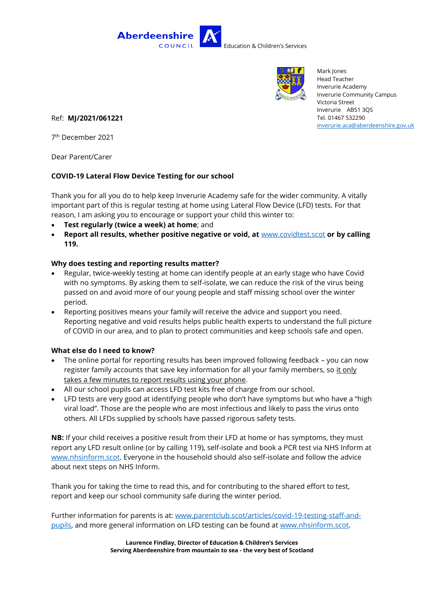



Mark Jones Head Teacher Inverurie Academy Inverurie Community Campus Victoria Street Inverurie AB51 3QS Tel. 01467 532290 [inverurie.aca@aberdeenshire.gov.uk](mailto:inverurie.aca@aberdeenshire.gov.uk)

Ref: **MJ/2021/061221**

7 th December 2021

Dear Parent/Carer

## **COVID-19 Lateral Flow Device Testing for our school**

Thank you for all you do to help keep Inverurie Academy safe for the wider community. A vitally important part of this is regular testing at home using Lateral Flow Device (LFD) tests. For that reason, I am asking you to encourage or support your child this winter to:

- **Test regularly (twice a week) at home**; and
- **Report all results, whether positive negative or void, at** [www.covidtest.scot](http://www.covidtest.scot/) **or by calling 119.**

## **Why does testing and reporting results matter?**

- Regular, twice-weekly testing at home can identify people at an early stage who have Covid with no symptoms. By asking them to self-isolate, we can reduce the risk of the virus being passed on and avoid more of our young people and staff missing school over the winter period.
- Reporting positives means your family will receive the advice and support you need. Reporting negative and void results helps public health experts to understand the full picture of COVID in our area, and to plan to protect communities and keep schools safe and open.

## **What else do I need to know?**

- The online portal for reporting results has been improved following feedback you can now register family accounts that save key information for all your family members, so it only takes a few minutes to report results using your phone.
- All our school pupils can access LFD test kits free of charge from our school.
- LFD tests are very good at identifying people who don't have symptoms but who have a "high viral load". Those are the people who are most infectious and likely to pass the virus onto others. All LFDs supplied by schools have passed rigorous safety tests.

**NB:** If your child receives a positive result from their LFD at home or has symptoms, they must report any LFD result online (or by calling 119), self-isolate and book a PCR test via NHS Inform at [www.nhsinform.scot.](https://www.nhsinform.scot/illnesses-and-conditions/infections-and-poisoning/coronavirus-covid-19/test-and-protect/coronavirus-covid-19-get-a-test-if-you-have-symptoms) Everyone in the household should also self-isolate and follow the advice about next steps on NHS Inform.

Thank you for taking the time to read this, and for contributing to the shared effort to test, report and keep our school community safe during the winter period.

Further information for parents is at: [www.parentclub.scot/articles/covid-19-testing-staff-and](http://www.parentclub.scot/articles/covid-19-testing-staff-and-pupils)[pupils,](http://www.parentclub.scot/articles/covid-19-testing-staff-and-pupils) and more general information on LFD testing can be found at [www.nhsinform.scot.](http://www.nhsinform.scot/)

> **Laurence Findlay, Director of Education & Children's Services Serving Aberdeenshire from mountain to sea - the very best of Scotland**